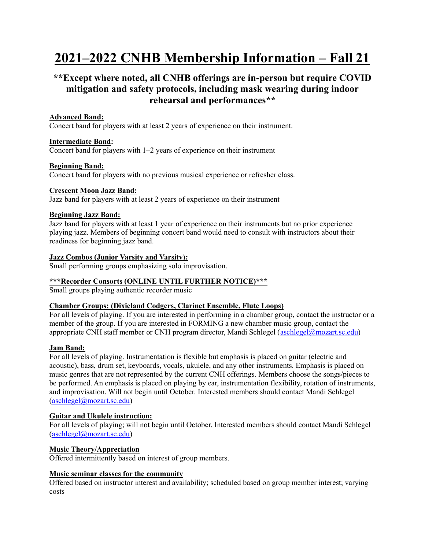# **2021–2022 CNHB Membership Information – Fall 21**

## **\*\*Except where noted, all CNHB offerings are in-person but require COVID mitigation and safety protocols, including mask wearing during indoor rehearsal and performances\*\***

## **Advanced Band:**

Concert band for players with at least 2 years of experience on their instrument.

## **Intermediate Band:**

Concert band for players with 1–2 years of experience on their instrument

## **Beginning Band:**

Concert band for players with no previous musical experience or refresher class.

## **Crescent Moon Jazz Band:**

Jazz band for players with at least 2 years of experience on their instrument

## **Beginning Jazz Band:**

Jazz band for players with at least 1 year of experience on their instruments but no prior experience playing jazz. Members of beginning concert band would need to consult with instructors about their readiness for beginning jazz band.

## **Jazz Combos (Junior Varsity and Varsity):**

Small performing groups emphasizing solo improvisation.

## **\*\*\*Recorder Consorts (ONLINE UNTIL FURTHER NOTICE)\*\*\***

Small groups playing authentic recorder music

#### **Chamber Groups: (Dixieland Codgers, Clarinet Ensemble, Flute Loops)**

For all levels of playing. If you are interested in performing in a chamber group, contact the instructor or a member of the group. If you are interested in FORMING a new chamber music group, contact the appropriate CNH staff member or CNH program director, Mandi Schlegel [\(aschlegel@mozart.sc.edu\)](mailto:aschlegel@mozart.sc.edu)

#### **Jam Band:**

For all levels of playing. Instrumentation is flexible but emphasis is placed on guitar (electric and acoustic), bass, drum set, keyboards, vocals, ukulele, and any other instruments. Emphasis is placed on music genres that are not represented by the current CNH offerings. Members choose the songs/pieces to be performed. An emphasis is placed on playing by ear, instrumentation flexibility, rotation of instruments, and improvisation. Will not begin until October. Interested members should contact Mandi Schlegel [\(aschlegel@mozart.sc.edu\)](mailto:aschlegel@mozart.sc.edu)

## **Guitar and Ukulele instruction:**

For all levels of playing; will not begin until October. Interested members should contact Mandi Schlegel [\(aschlegel@mozart.sc.edu\)](mailto:aschlegel@mozart.sc.edu)

## **Music Theory/Appreciation**

Offered intermittently based on interest of group members.

## **Music seminar classes for the community**

Offered based on instructor interest and availability; scheduled based on group member interest; varying costs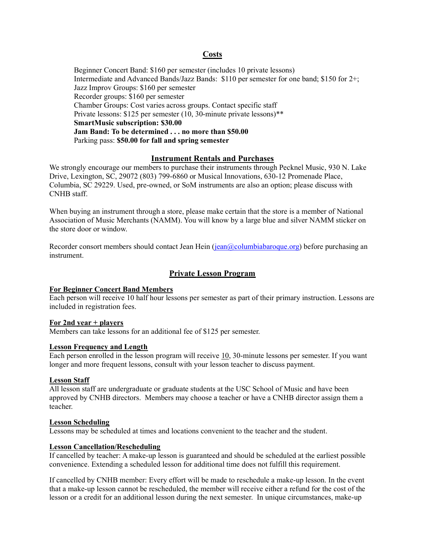#### **Costs**

Beginner Concert Band: \$160 per semester (includes 10 private lessons) Intermediate and Advanced Bands/Jazz Bands: \$110 per semester for one band; \$150 for 2+; Jazz Improv Groups: \$160 per semester Recorder groups: \$160 per semester Chamber Groups: Cost varies across groups. Contact specific staff Private lessons: \$125 per semester (10, 30-minute private lessons)\*\* **SmartMusic subscription: \$30.00 Jam Band: To be determined . . . no more than \$50.00** Parking pass: **\$50.00 for fall and spring semester**

#### **Instrument Rentals and Purchases**

We strongly encourage our members to purchase their instruments through Pecknel Music, 930 N. Lake Drive, Lexington, SC, 29072 (803) 799-6860 or Musical Innovations, 630-12 Promenade Place, Columbia, SC 29229. Used, pre-owned, or SoM instruments are also an option; please discuss with CNHB staff.

When buying an instrument through a store, please make certain that the store is a member of National Association of Music Merchants (NAMM). You will know by a large blue and silver NAMM sticker on the store door or window.

Recorder consort members should contact Jean Hein [\(jean@columbiabaroque.org\)](mailto:jean@columbiabaroque.org) before purchasing an instrument.

#### **Private Lesson Program**

#### **For Beginner Concert Band Members**

Each person will receive 10 half hour lessons per semester as part of their primary instruction. Lessons are included in registration fees.

#### **For 2nd year + players**

Members can take lessons for an additional fee of \$125 per semester.

#### **Lesson Frequency and Length**

Each person enrolled in the lesson program will receive 10, 30-minute lessons per semester. If you want longer and more frequent lessons, consult with your lesson teacher to discuss payment.

#### **Lesson Staff**

All lesson staff are undergraduate or graduate students at the USC School of Music and have been approved by CNHB directors. Members may choose a teacher or have a CNHB director assign them a teacher.

#### **Lesson Scheduling**

Lessons may be scheduled at times and locations convenient to the teacher and the student.

#### **Lesson Cancellation/Rescheduling**

If cancelled by teacher: A make-up lesson is guaranteed and should be scheduled at the earliest possible convenience. Extending a scheduled lesson for additional time does not fulfill this requirement.

If cancelled by CNHB member: Every effort will be made to reschedule a make-up lesson. In the event that a make-up lesson cannot be rescheduled, the member will receive either a refund for the cost of the lesson or a credit for an additional lesson during the next semester. In unique circumstances, make-up